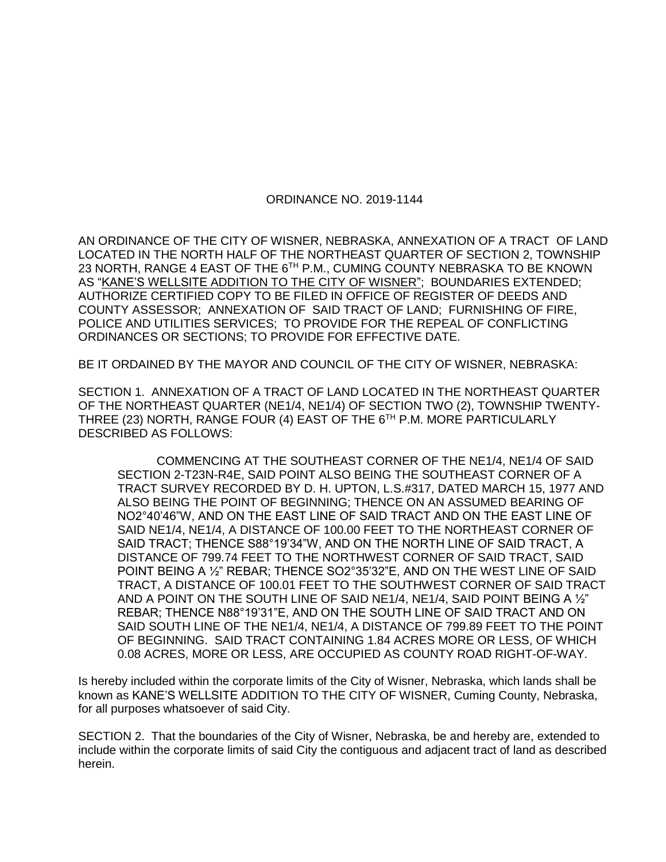## ORDINANCE NO. 2019-1144

AN ORDINANCE OF THE CITY OF WISNER, NEBRASKA, ANNEXATION OF A TRACT OF LAND LOCATED IN THE NORTH HALF OF THE NORTHEAST QUARTER OF SECTION 2, TOWNSHIP 23 NORTH, RANGE 4 EAST OF THE 6TH P.M., CUMING COUNTY NEBRASKA TO BE KNOWN AS "KANE'S WELLSITE ADDITION TO THE CITY OF WISNER"; BOUNDARIES EXTENDED; AUTHORIZE CERTIFIED COPY TO BE FILED IN OFFICE OF REGISTER OF DEEDS AND COUNTY ASSESSOR; ANNEXATION OF SAID TRACT OF LAND; FURNISHING OF FIRE, POLICE AND UTILITIES SERVICES; TO PROVIDE FOR THE REPEAL OF CONFLICTING ORDINANCES OR SECTIONS; TO PROVIDE FOR EFFECTIVE DATE.

BE IT ORDAINED BY THE MAYOR AND COUNCIL OF THE CITY OF WISNER, NEBRASKA:

SECTION 1. ANNEXATION OF A TRACT OF LAND LOCATED IN THE NORTHEAST QUARTER OF THE NORTHEAST QUARTER (NE1/4, NE1/4) OF SECTION TWO (2), TOWNSHIP TWENTY-THREE (23) NORTH, RANGE FOUR (4) EAST OF THE 6<sup>TH</sup> P.M. MORE PARTICULARLY DESCRIBED AS FOLLOWS:

COMMENCING AT THE SOUTHEAST CORNER OF THE NE1/4, NE1/4 OF SAID SECTION 2-T23N-R4E, SAID POINT ALSO BEING THE SOUTHEAST CORNER OF A TRACT SURVEY RECORDED BY D. H. UPTON, L.S.#317, DATED MARCH 15, 1977 AND ALSO BEING THE POINT OF BEGINNING; THENCE ON AN ASSUMED BEARING OF NO2°40'46"W, AND ON THE EAST LINE OF SAID TRACT AND ON THE EAST LINE OF SAID NE1/4, NE1/4, A DISTANCE OF 100.00 FEET TO THE NORTHEAST CORNER OF SAID TRACT; THENCE S88°19'34"W, AND ON THE NORTH LINE OF SAID TRACT, A DISTANCE OF 799.74 FEET TO THE NORTHWEST CORNER OF SAID TRACT, SAID POINT BEING A ½" REBAR; THENCE SO2°35'32"E, AND ON THE WEST LINE OF SAID TRACT, A DISTANCE OF 100.01 FEET TO THE SOUTHWEST CORNER OF SAID TRACT AND A POINT ON THE SOUTH LINE OF SAID NE1/4, NE1/4, SAID POINT BEING A  $\frac{1}{2}$ " REBAR; THENCE N88°19'31"E, AND ON THE SOUTH LINE OF SAID TRACT AND ON SAID SOUTH LINE OF THE NE1/4, NE1/4, A DISTANCE OF 799.89 FEET TO THE POINT OF BEGINNING. SAID TRACT CONTAINING 1.84 ACRES MORE OR LESS, OF WHICH 0.08 ACRES, MORE OR LESS, ARE OCCUPIED AS COUNTY ROAD RIGHT-OF-WAY.

Is hereby included within the corporate limits of the City of Wisner, Nebraska, which lands shall be known as KANE'S WELLSITE ADDITION TO THE CITY OF WISNER, Cuming County, Nebraska, for all purposes whatsoever of said City.

SECTION 2. That the boundaries of the City of Wisner, Nebraska, be and hereby are, extended to include within the corporate limits of said City the contiguous and adjacent tract of land as described herein.